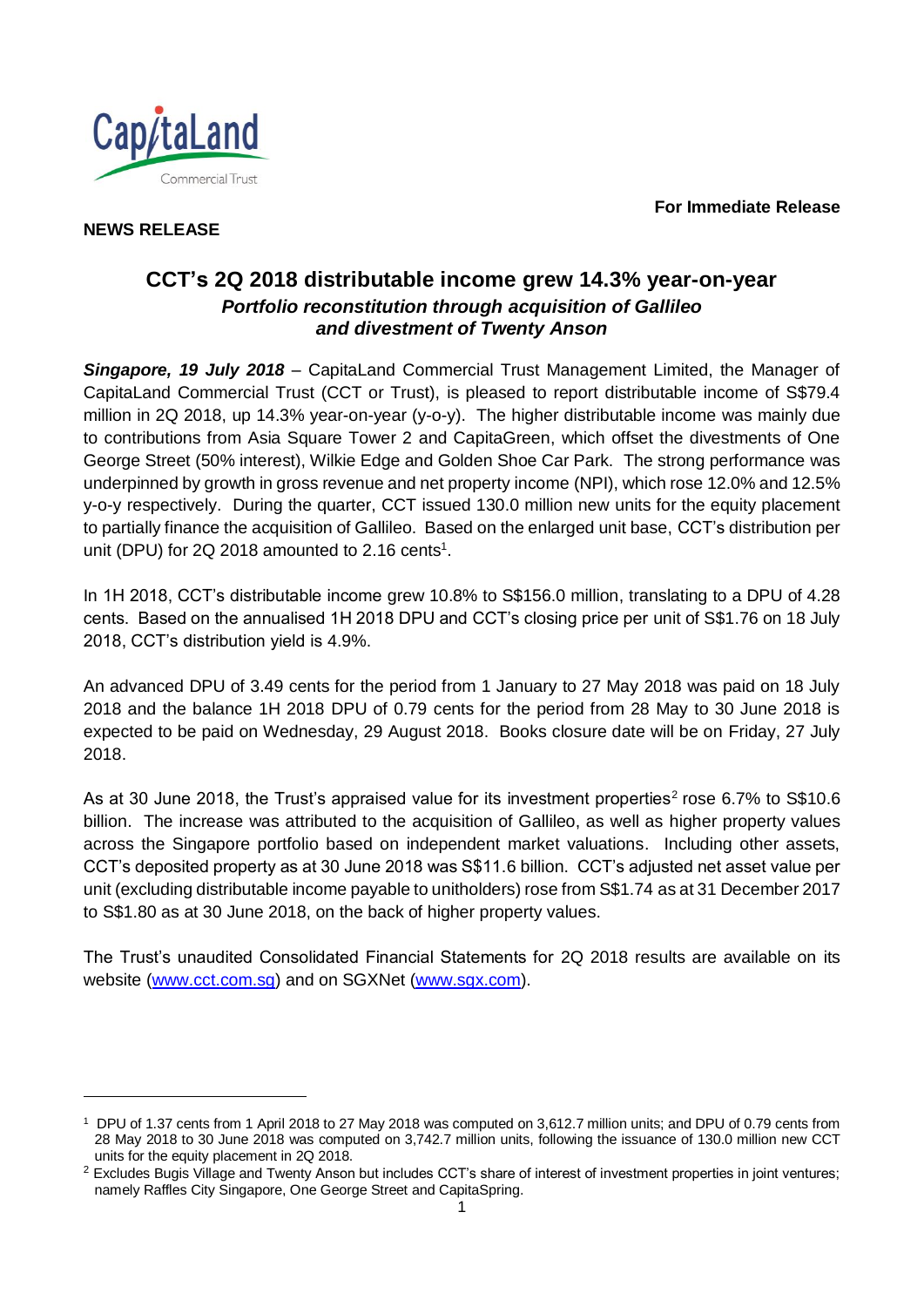**For Immediate Release**



**NEWS RELEASE** 

l

# **CCT's 2Q 2018 distributable income grew 14.3% year-on-year** *Portfolio reconstitution through acquisition of Gallileo and divestment of Twenty Anson*

*Singapore, 19 July 2018* – CapitaLand Commercial Trust Management Limited, the Manager of CapitaLand Commercial Trust (CCT or Trust), is pleased to report distributable income of S\$79.4 million in 2Q 2018, up 14.3% year-on-year (y-o-y). The higher distributable income was mainly due to contributions from Asia Square Tower 2 and CapitaGreen, which offset the divestments of One George Street (50% interest), Wilkie Edge and Golden Shoe Car Park. The strong performance was underpinned by growth in gross revenue and net property income (NPI), which rose 12.0% and 12.5% y-o-y respectively. During the quarter, CCT issued 130.0 million new units for the equity placement to partially finance the acquisition of Gallileo. Based on the enlarged unit base, CCT's distribution per unit (DPU) for 2Q 2018 amounted to 2.16 cents<sup>1</sup>.

In 1H 2018, CCT's distributable income grew 10.8% to S\$156.0 million, translating to a DPU of 4.28 cents. Based on the annualised 1H 2018 DPU and CCT's closing price per unit of S\$1.76 on 18 July 2018, CCT's distribution yield is 4.9%.

An advanced DPU of 3.49 cents for the period from 1 January to 27 May 2018 was paid on 18 July 2018 and the balance 1H 2018 DPU of 0.79 cents for the period from 28 May to 30 June 2018 is expected to be paid on Wednesday, 29 August 2018. Books closure date will be on Friday, 27 July 2018.

As at 30 June 2018, the Trust's appraised value for its investment properties<sup>2</sup> rose 6.7% to S\$10.6 billion. The increase was attributed to the acquisition of Gallileo, as well as higher property values across the Singapore portfolio based on independent market valuations. Including other assets, CCT's deposited property as at 30 June 2018 was S\$11.6 billion. CCT's adjusted net asset value per unit (excluding distributable income payable to unitholders) rose from S\$1.74 as at 31 December 2017 to S\$1.80 as at 30 June 2018, on the back of higher property values.

The Trust's unaudited Consolidated Financial Statements for 2Q 2018 results are available on its website [\(www.cct.com.sg\)](http://www.cct.com.sg/) and on SGXNet [\(www.sgx.com\)](http://www.sgx.com/).

<sup>1</sup> DPU of 1.37 cents from 1 April 2018 to 27 May 2018 was computed on 3,612.7 million units; and DPU of 0.79 cents from 28 May 2018 to 30 June 2018 was computed on 3,742.7 million units, following the issuance of 130.0 million new CCT units for the equity placement in 2Q 2018.

<sup>&</sup>lt;sup>2</sup> Excludes Bugis Village and Twenty Anson but includes CCT's share of interest of investment properties in joint ventures; namely Raffles City Singapore, One George Street and CapitaSpring.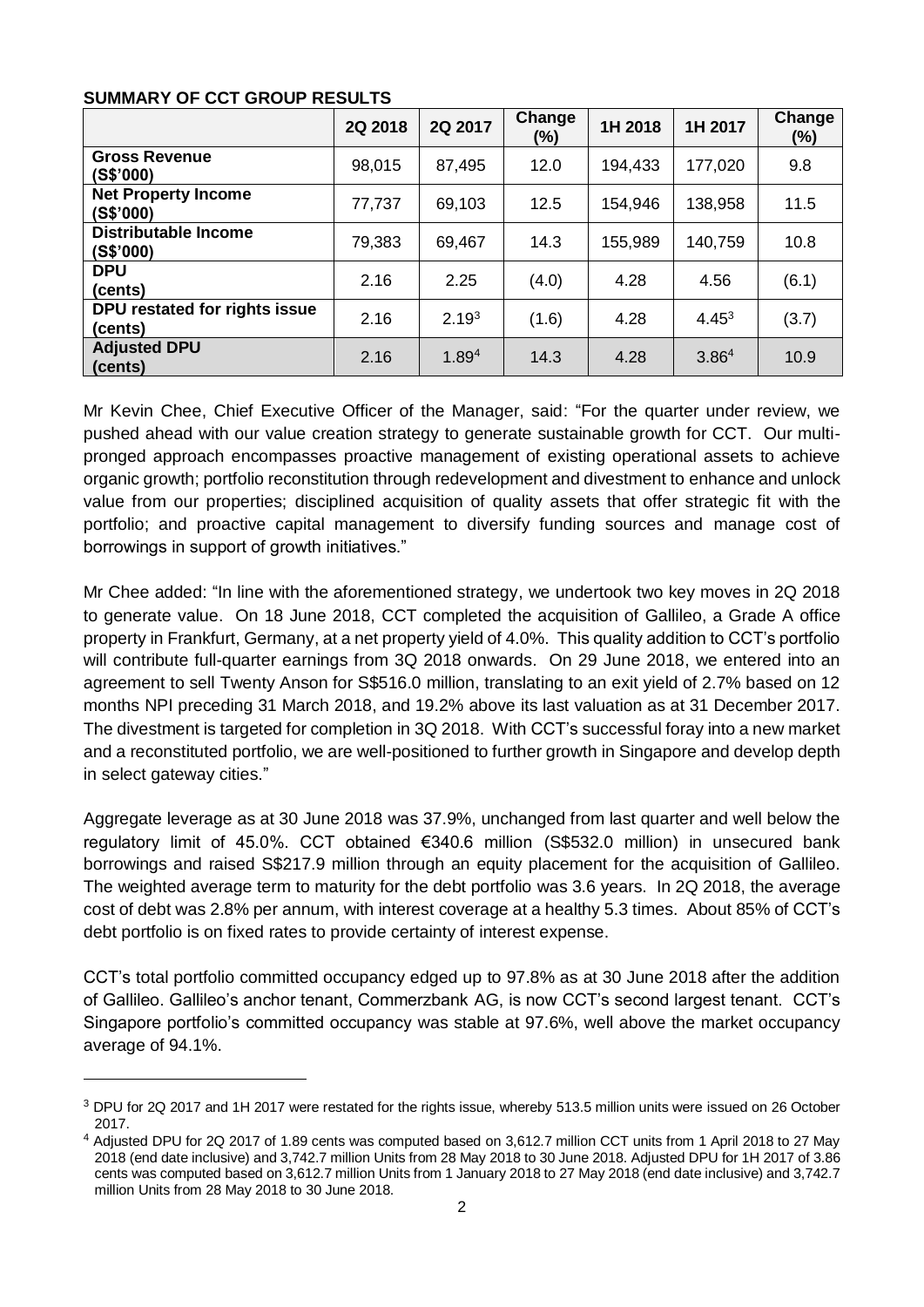|                                          | 2Q 2018 | 2Q 2017           | Change<br>(%) | 1H 2018 | 1H 2017           | Change<br>(%) |
|------------------------------------------|---------|-------------------|---------------|---------|-------------------|---------------|
| <b>Gross Revenue</b><br>(S\$'000)        | 98,015  | 87,495            | 12.0          | 194,433 | 177,020           | 9.8           |
| <b>Net Property Income</b><br>(S\$'000)  | 77,737  | 69,103            | 12.5          | 154,946 | 138,958           | 11.5          |
| Distributable Income<br>(S\$'000)        | 79,383  | 69,467            | 14.3          | 155,989 | 140,759           | 10.8          |
| <b>DPU</b><br>(cents)                    | 2.16    | 2.25              | (4.0)         | 4.28    | 4.56              | (6.1)         |
| DPU restated for rights issue<br>(cents) | 2.16    | 2.19 <sup>3</sup> | (1.6)         | 4.28    | $4.45^{3}$        | (3.7)         |
| <b>Adjusted DPU</b><br>(cents)           | 2.16    | 1.894             | 14.3          | 4.28    | 3.86 <sup>4</sup> | 10.9          |

### **SUMMARY OF CCT GROUP RESULTS**

l

Mr Kevin Chee, Chief Executive Officer of the Manager, said: "For the quarter under review, we pushed ahead with our value creation strategy to generate sustainable growth for CCT. Our multipronged approach encompasses proactive management of existing operational assets to achieve organic growth; portfolio reconstitution through redevelopment and divestment to enhance and unlock value from our properties; disciplined acquisition of quality assets that offer strategic fit with the portfolio; and proactive capital management to diversify funding sources and manage cost of borrowings in support of growth initiatives."

Mr Chee added: "In line with the aforementioned strategy, we undertook two key moves in 2Q 2018 to generate value. On 18 June 2018, CCT completed the acquisition of Gallileo, a Grade A office property in Frankfurt, Germany, at a net property yield of 4.0%. This quality addition to CCT's portfolio will contribute full-quarter earnings from 3Q 2018 onwards. On 29 June 2018, we entered into an agreement to sell Twenty Anson for S\$516.0 million, translating to an exit yield of 2.7% based on 12 months NPI preceding 31 March 2018, and 19.2% above its last valuation as at 31 December 2017. The divestment is targeted for completion in 3Q 2018. With CCT's successful foray into a new market and a reconstituted portfolio, we are well-positioned to further growth in Singapore and develop depth in select gateway cities."

Aggregate leverage as at 30 June 2018 was 37.9%, unchanged from last quarter and well below the regulatory limit of 45.0%. CCT obtained €340.6 million (S\$532.0 million) in unsecured bank borrowings and raised S\$217.9 million through an equity placement for the acquisition of Gallileo. The weighted average term to maturity for the debt portfolio was 3.6 years. In 2Q 2018, the average cost of debt was 2.8% per annum, with interest coverage at a healthy 5.3 times. About 85% of CCT's debt portfolio is on fixed rates to provide certainty of interest expense.

CCT's total portfolio committed occupancy edged up to 97.8% as at 30 June 2018 after the addition of Gallileo. Gallileo's anchor tenant, Commerzbank AG, is now CCT's second largest tenant. CCT's Singapore portfolio's committed occupancy was stable at 97.6%, well above the market occupancy average of 94.1%.

<sup>&</sup>lt;sup>3</sup> DPU for 2Q 2017 and 1H 2017 were restated for the rights issue, whereby 513.5 million units were issued on 26 October 2017.

<sup>4</sup> Adjusted DPU for 2Q 2017 of 1.89 cents was computed based on 3,612.7 million CCT units from 1 April 2018 to 27 May 2018 (end date inclusive) and 3,742.7 million Units from 28 May 2018 to 30 June 2018. Adjusted DPU for 1H 2017 of 3.86 cents was computed based on 3,612.7 million Units from 1 January 2018 to 27 May 2018 (end date inclusive) and 3,742.7 million Units from 28 May 2018 to 30 June 2018.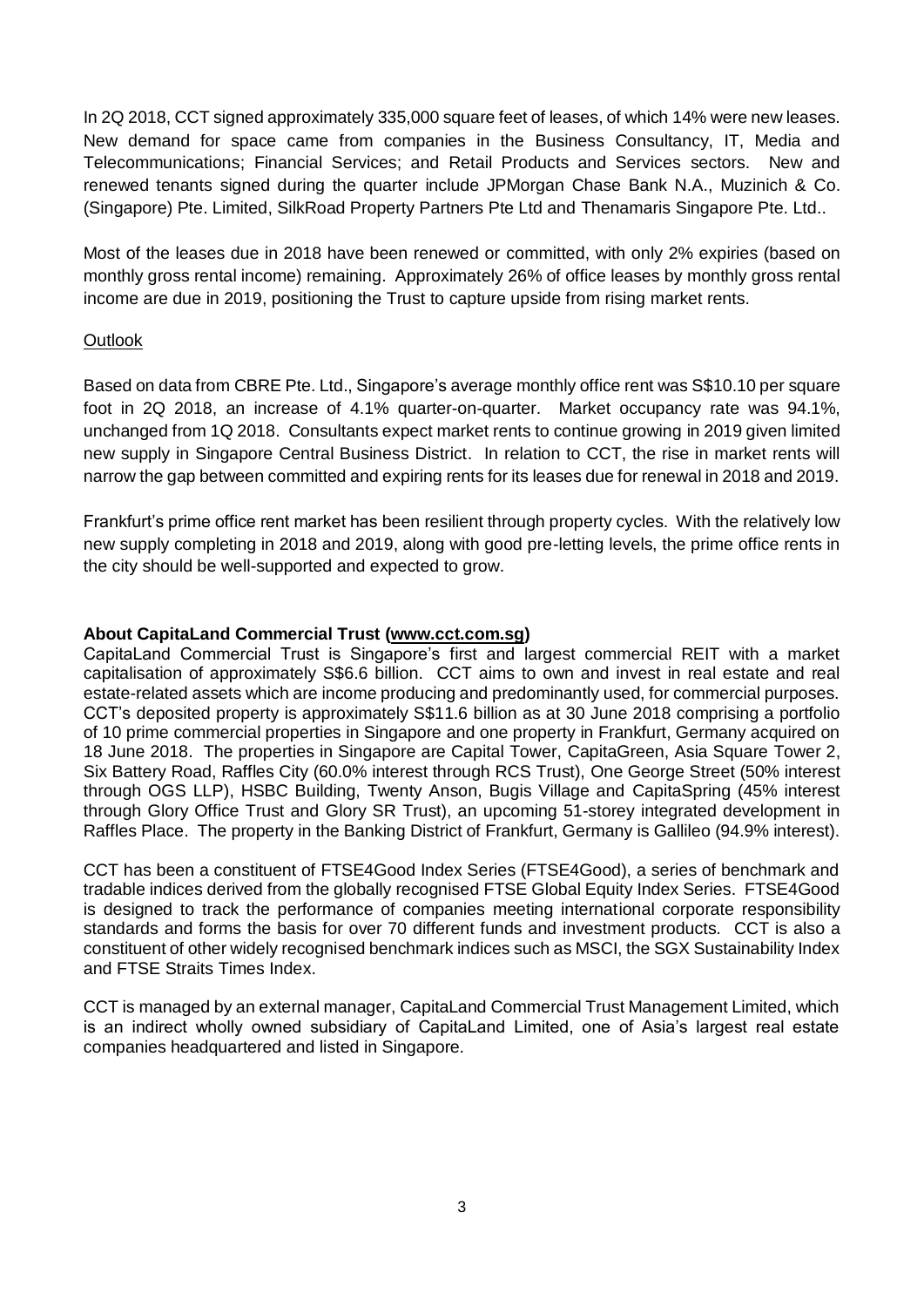In 2Q 2018, CCT signed approximately 335,000 square feet of leases, of which 14% were new leases. New demand for space came from companies in the Business Consultancy, IT, Media and Telecommunications; Financial Services; and Retail Products and Services sectors. New and renewed tenants signed during the quarter include JPMorgan Chase Bank N.A., Muzinich & Co. (Singapore) Pte. Limited, SilkRoad Property Partners Pte Ltd and Thenamaris Singapore Pte. Ltd..

Most of the leases due in 2018 have been renewed or committed, with only 2% expiries (based on monthly gross rental income) remaining. Approximately 26% of office leases by monthly gross rental income are due in 2019, positioning the Trust to capture upside from rising market rents.

# **Outlook**

Based on data from CBRE Pte. Ltd., Singapore's average monthly office rent was S\$10.10 per square foot in 2Q 2018, an increase of 4.1% quarter-on-quarter. Market occupancy rate was 94.1%, unchanged from 1Q 2018. Consultants expect market rents to continue growing in 2019 given limited new supply in Singapore Central Business District. In relation to CCT, the rise in market rents will narrow the gap between committed and expiring rents for its leases due for renewal in 2018 and 2019.

Frankfurt's prime office rent market has been resilient through property cycles. With the relatively low new supply completing in 2018 and 2019, along with good pre-letting levels, the prime office rents in the city should be well-supported and expected to grow.

# **About CapitaLand Commercial Trust (www.cct.com.sg)**

CapitaLand Commercial Trust is Singapore's first and largest commercial REIT with a market capitalisation of approximately S\$6.6 billion. CCT aims to own and invest in real estate and real estate-related assets which are income producing and predominantly used, for commercial purposes. CCT's deposited property is approximately S\$11.6 billion as at 30 June 2018 comprising a portfolio of 10 prime commercial properties in Singapore and one property in Frankfurt, Germany acquired on 18 June 2018. The properties in Singapore are Capital Tower, CapitaGreen, Asia Square Tower 2, Six Battery Road, Raffles City (60.0% interest through RCS Trust), One George Street (50% interest through OGS LLP), HSBC Building, Twenty Anson, Bugis Village and CapitaSpring (45% interest through Glory Office Trust and Glory SR Trust), an upcoming 51-storey integrated development in Raffles Place. The property in the Banking District of Frankfurt, Germany is Gallileo (94.9% interest).

CCT has been a constituent of FTSE4Good Index Series (FTSE4Good), a series of benchmark and tradable indices derived from the globally recognised FTSE Global Equity Index Series. FTSE4Good is designed to track the performance of companies meeting international corporate responsibility standards and forms the basis for over 70 different funds and investment products. CCT is also a constituent of other widely recognised benchmark indices such as MSCI, the SGX Sustainability Index and FTSE Straits Times Index.

CCT is managed by an external manager, CapitaLand Commercial Trust Management Limited, which is an indirect wholly owned subsidiary of CapitaLand Limited, one of Asia's largest real estate companies headquartered and listed in Singapore.